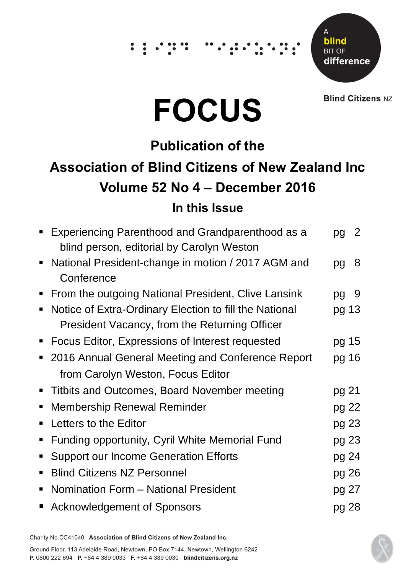## $\dddot{\hspace{0.1cm}}$  :



**Blind Citizens NZ** 

# **FOCUS**

### **Publication of the**

## **Association of Blind Citizens of New Zealand Inc Volume 52 No 4 – December 2016 In this Issue**

|                | Experiencing Parenthood and Grandparenthood as a<br>blind person, editorial by Carolyn Weston | pq    | 2 |
|----------------|-----------------------------------------------------------------------------------------------|-------|---|
|                | • National President-change in motion / 2017 AGM and<br>Conference                            | pg    | 8 |
|                |                                                                                               |       |   |
|                | • From the outgoing National President, Clive Lansink                                         | pg    | 9 |
| $\blacksquare$ | Notice of Extra-Ordinary Election to fill the National                                        | pg 13 |   |
|                | President Vacancy, from the Returning Officer                                                 |       |   |
|                | • Focus Editor, Expressions of Interest requested                                             | pg 15 |   |
|                | 2016 Annual General Meeting and Conference Report                                             | pg 16 |   |
|                | from Carolyn Weston, Focus Editor                                                             |       |   |
| п              | Titbits and Outcomes, Board November meeting                                                  | pg 21 |   |
| п              | <b>Membership Renewal Reminder</b>                                                            | pg 22 |   |
|                | Letters to the Editor                                                                         | pg 23 |   |
| $\blacksquare$ | Funding opportunity, Cyril White Memorial Fund                                                | pg 23 |   |
| $\blacksquare$ | <b>Support our Income Generation Efforts</b>                                                  | pg 24 |   |
| п              | <b>Blind Citizens NZ Personnel</b>                                                            | pg 26 |   |
|                | Nomination Form - National President                                                          | pg 27 |   |
|                | <b>Acknowledgement of Sponsors</b>                                                            | pg 28 |   |

Charity No.CC41040 Association of Blind Citizens of New Zealand Inc.

Ground Floor, 113 Adelaide Road, Newtown, PO Box 7144, Newtown, Wellington 6242 P. 0800 222 694 P. +64 4 389 0033 F. +64 4 389 0030 blindcitizens.org.nz

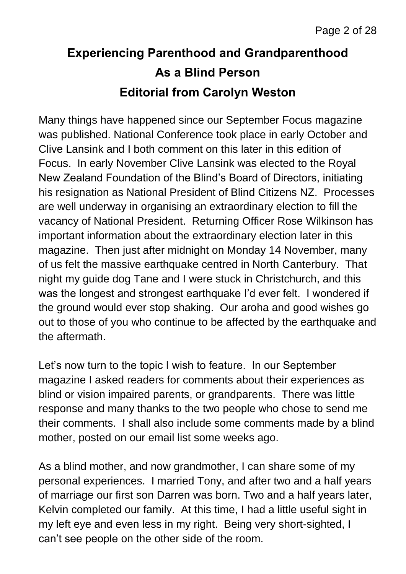## **Experiencing Parenthood and Grandparenthood As a Blind Person Editorial from Carolyn Weston**

Many things have happened since our September Focus magazine was published. National Conference took place in early October and Clive Lansink and I both comment on this later in this edition of Focus. In early November Clive Lansink was elected to the Royal New Zealand Foundation of the Blind's Board of Directors, initiating his resignation as National President of Blind Citizens NZ. Processes are well underway in organising an extraordinary election to fill the vacancy of National President. Returning Officer Rose Wilkinson has important information about the extraordinary election later in this magazine. Then just after midnight on Monday 14 November, many of us felt the massive earthquake centred in North Canterbury. That night my guide dog Tane and I were stuck in Christchurch, and this was the longest and strongest earthquake I'd ever felt. I wondered if the ground would ever stop shaking. Our aroha and good wishes go out to those of you who continue to be affected by the earthquake and the aftermath.

Let's now turn to the topic I wish to feature. In our September magazine I asked readers for comments about their experiences as blind or vision impaired parents, or grandparents. There was little response and many thanks to the two people who chose to send me their comments. I shall also include some comments made by a blind mother, posted on our email list some weeks ago.

As a blind mother, and now grandmother, I can share some of my personal experiences. I married Tony, and after two and a half years of marriage our first son Darren was born. Two and a half years later, Kelvin completed our family. At this time, I had a little useful sight in my left eye and even less in my right. Being very short-sighted, I can't see people on the other side of the room.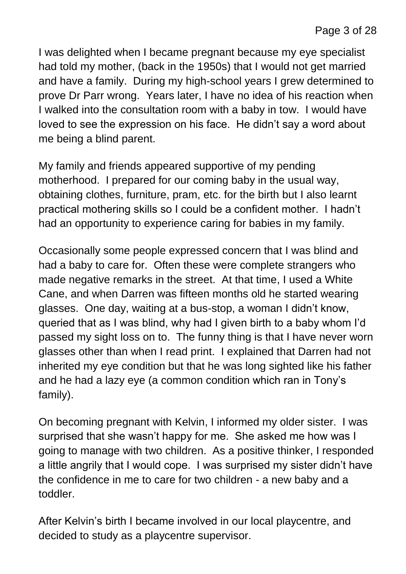I was delighted when I became pregnant because my eye specialist had told my mother, (back in the 1950s) that I would not get married and have a family. During my high-school years I grew determined to prove Dr Parr wrong. Years later, I have no idea of his reaction when I walked into the consultation room with a baby in tow. I would have loved to see the expression on his face. He didn't say a word about me being a blind parent.

My family and friends appeared supportive of my pending motherhood. I prepared for our coming baby in the usual way, obtaining clothes, furniture, pram, etc. for the birth but I also learnt practical mothering skills so I could be a confident mother. I hadn't had an opportunity to experience caring for babies in my family.

Occasionally some people expressed concern that I was blind and had a baby to care for. Often these were complete strangers who made negative remarks in the street. At that time, I used a White Cane, and when Darren was fifteen months old he started wearing glasses. One day, waiting at a bus-stop, a woman I didn't know, queried that as I was blind, why had I given birth to a baby whom I'd passed my sight loss on to. The funny thing is that I have never worn glasses other than when I read print. I explained that Darren had not inherited my eye condition but that he was long sighted like his father and he had a lazy eye (a common condition which ran in Tony's family).

On becoming pregnant with Kelvin, I informed my older sister. I was surprised that she wasn't happy for me. She asked me how was I going to manage with two children. As a positive thinker, I responded a little angrily that I would cope. I was surprised my sister didn't have the confidence in me to care for two children - a new baby and a toddler.

After Kelvin's birth I became involved in our local playcentre, and decided to study as a playcentre supervisor.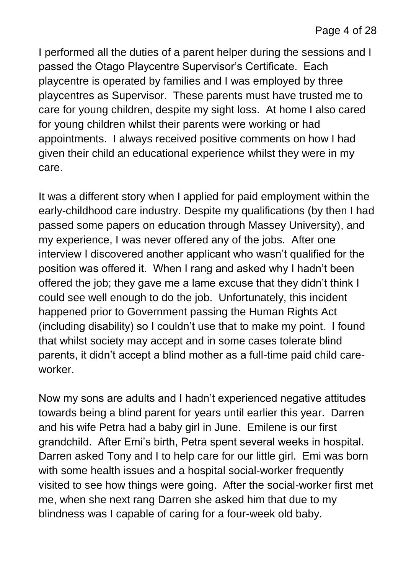I performed all the duties of a parent helper during the sessions and I passed the Otago Playcentre Supervisor's Certificate. Each playcentre is operated by families and I was employed by three playcentres as Supervisor. These parents must have trusted me to care for young children, despite my sight loss. At home I also cared for young children whilst their parents were working or had appointments. I always received positive comments on how I had given their child an educational experience whilst they were in my care.

It was a different story when I applied for paid employment within the early-childhood care industry. Despite my qualifications (by then I had passed some papers on education through Massey University), and my experience, I was never offered any of the jobs. After one interview I discovered another applicant who wasn't qualified for the position was offered it. When I rang and asked why I hadn't been offered the job; they gave me a lame excuse that they didn't think I could see well enough to do the job. Unfortunately, this incident happened prior to Government passing the Human Rights Act (including disability) so I couldn't use that to make my point. I found that whilst society may accept and in some cases tolerate blind parents, it didn't accept a blind mother as a full-time paid child careworker.

Now my sons are adults and I hadn't experienced negative attitudes towards being a blind parent for years until earlier this year. Darren and his wife Petra had a baby girl in June. Emilene is our first grandchild. After Emi's birth, Petra spent several weeks in hospital. Darren asked Tony and I to help care for our little girl. Emi was born with some health issues and a hospital social-worker frequently visited to see how things were going. After the social-worker first met me, when she next rang Darren she asked him that due to my blindness was I capable of caring for a four-week old baby.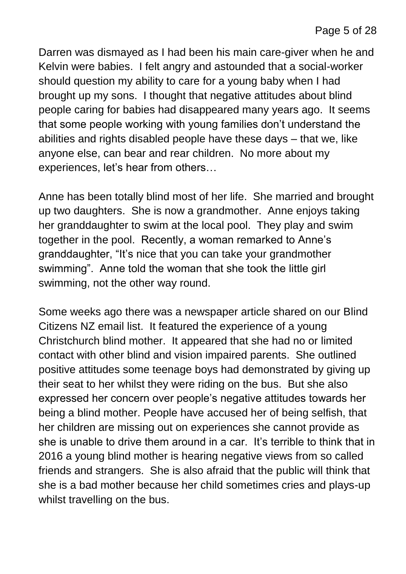Darren was dismayed as I had been his main care-giver when he and Kelvin were babies. I felt angry and astounded that a social-worker should question my ability to care for a young baby when I had brought up my sons. I thought that negative attitudes about blind people caring for babies had disappeared many years ago. It seems that some people working with young families don't understand the abilities and rights disabled people have these days – that we, like anyone else, can bear and rear children. No more about my experiences, let's hear from others…

Anne has been totally blind most of her life. She married and brought up two daughters. She is now a grandmother. Anne enjoys taking her granddaughter to swim at the local pool. They play and swim together in the pool. Recently, a woman remarked to Anne's granddaughter, "It's nice that you can take your grandmother swimming". Anne told the woman that she took the little girl swimming, not the other way round.

Some weeks ago there was a newspaper article shared on our Blind Citizens NZ email list. It featured the experience of a young Christchurch blind mother. It appeared that she had no or limited contact with other blind and vision impaired parents. She outlined positive attitudes some teenage boys had demonstrated by giving up their seat to her whilst they were riding on the bus. But she also expressed her concern over people's negative attitudes towards her being a blind mother. People have accused her of being selfish, that her children are missing out on experiences she cannot provide as she is unable to drive them around in a car. It's terrible to think that in 2016 a young blind mother is hearing negative views from so called friends and strangers. She is also afraid that the public will think that she is a bad mother because her child sometimes cries and plays-up whilst travelling on the bus.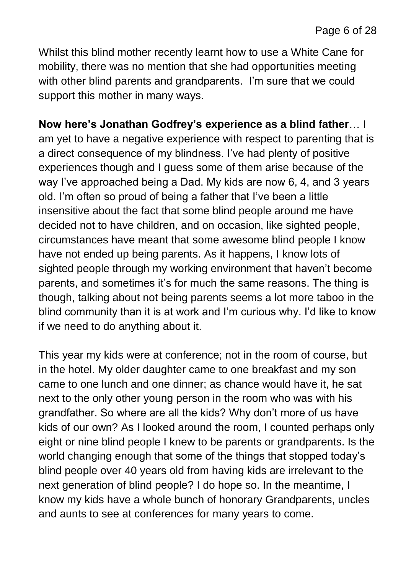Whilst this blind mother recently learnt how to use a White Cane for mobility, there was no mention that she had opportunities meeting with other blind parents and grandparents. I'm sure that we could support this mother in many ways.

**Now here's Jonathan Godfrey's experience as a blind father**… I am yet to have a negative experience with respect to parenting that is a direct consequence of my blindness. I've had plenty of positive experiences though and I guess some of them arise because of the way I've approached being a Dad. My kids are now 6, 4, and 3 years old. I'm often so proud of being a father that I've been a little insensitive about the fact that some blind people around me have decided not to have children, and on occasion, like sighted people, circumstances have meant that some awesome blind people I know have not ended up being parents. As it happens, I know lots of sighted people through my working environment that haven't become parents, and sometimes it's for much the same reasons. The thing is though, talking about not being parents seems a lot more taboo in the blind community than it is at work and I'm curious why. I'd like to know if we need to do anything about it.

This year my kids were at conference; not in the room of course, but in the hotel. My older daughter came to one breakfast and my son came to one lunch and one dinner; as chance would have it, he sat next to the only other young person in the room who was with his grandfather. So where are all the kids? Why don't more of us have kids of our own? As I looked around the room, I counted perhaps only eight or nine blind people I knew to be parents or grandparents. Is the world changing enough that some of the things that stopped today's blind people over 40 years old from having kids are irrelevant to the next generation of blind people? I do hope so. In the meantime, I know my kids have a whole bunch of honorary Grandparents, uncles and aunts to see at conferences for many years to come.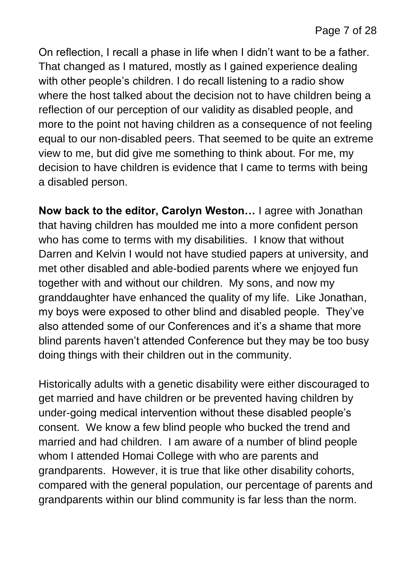On reflection, I recall a phase in life when I didn't want to be a father. That changed as I matured, mostly as I gained experience dealing with other people's children. I do recall listening to a radio show where the host talked about the decision not to have children being a reflection of our perception of our validity as disabled people, and more to the point not having children as a consequence of not feeling equal to our non-disabled peers. That seemed to be quite an extreme view to me, but did give me something to think about. For me, my decision to have children is evidence that I came to terms with being a disabled person.

**Now back to the editor, Carolyn Weston…** I agree with Jonathan that having children has moulded me into a more confident person who has come to terms with my disabilities. I know that without Darren and Kelvin I would not have studied papers at university, and met other disabled and able-bodied parents where we enjoyed fun together with and without our children. My sons, and now my granddaughter have enhanced the quality of my life. Like Jonathan, my boys were exposed to other blind and disabled people. They've also attended some of our Conferences and it's a shame that more blind parents haven't attended Conference but they may be too busy doing things with their children out in the community.

Historically adults with a genetic disability were either discouraged to get married and have children or be prevented having children by under-going medical intervention without these disabled people's consent. We know a few blind people who bucked the trend and married and had children. I am aware of a number of blind people whom I attended Homai College with who are parents and grandparents. However, it is true that like other disability cohorts, compared with the general population, our percentage of parents and grandparents within our blind community is far less than the norm.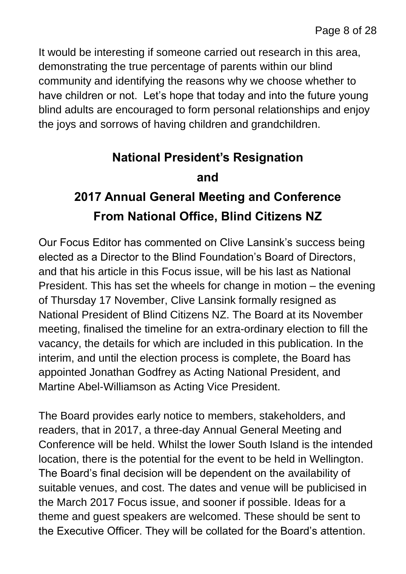It would be interesting if someone carried out research in this area, demonstrating the true percentage of parents within our blind community and identifying the reasons why we choose whether to have children or not. Let's hope that today and into the future young blind adults are encouraged to form personal relationships and enjoy the joys and sorrows of having children and grandchildren.

## **National President's Resignation and 2017 Annual General Meeting and Conference From National Office, Blind Citizens NZ**

Our Focus Editor has commented on Clive Lansink's success being elected as a Director to the Blind Foundation's Board of Directors, and that his article in this Focus issue, will be his last as National President. This has set the wheels for change in motion – the evening of Thursday 17 November, Clive Lansink formally resigned as National President of Blind Citizens NZ. The Board at its November meeting, finalised the timeline for an extra-ordinary election to fill the vacancy, the details for which are included in this publication. In the interim, and until the election process is complete, the Board has appointed Jonathan Godfrey as Acting National President, and Martine Abel-Williamson as Acting Vice President.

The Board provides early notice to members, stakeholders, and readers, that in 2017, a three-day Annual General Meeting and Conference will be held. Whilst the lower South Island is the intended location, there is the potential for the event to be held in Wellington. The Board's final decision will be dependent on the availability of suitable venues, and cost. The dates and venue will be publicised in the March 2017 Focus issue, and sooner if possible. Ideas for a theme and guest speakers are welcomed. These should be sent to the Executive Officer. They will be collated for the Board's attention.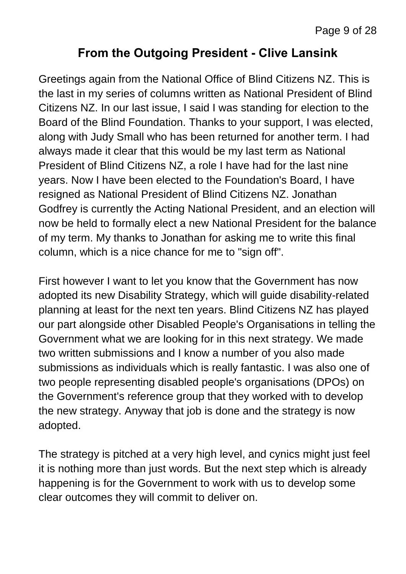#### **From the Outgoing President - Clive Lansink**

Greetings again from the National Office of Blind Citizens NZ. This is the last in my series of columns written as National President of Blind Citizens NZ. In our last issue, I said I was standing for election to the Board of the Blind Foundation. Thanks to your support, I was elected, along with Judy Small who has been returned for another term. I had always made it clear that this would be my last term as National President of Blind Citizens NZ, a role I have had for the last nine years. Now I have been elected to the Foundation's Board, I have resigned as National President of Blind Citizens NZ. Jonathan Godfrey is currently the Acting National President, and an election will now be held to formally elect a new National President for the balance of my term. My thanks to Jonathan for asking me to write this final column, which is a nice chance for me to "sign off".

First however I want to let you know that the Government has now adopted its new Disability Strategy, which will guide disability-related planning at least for the next ten years. Blind Citizens NZ has played our part alongside other Disabled People's Organisations in telling the Government what we are looking for in this next strategy. We made two written submissions and I know a number of you also made submissions as individuals which is really fantastic. I was also one of two people representing disabled people's organisations (DPOs) on the Government's reference group that they worked with to develop the new strategy. Anyway that job is done and the strategy is now adopted.

The strategy is pitched at a very high level, and cynics might just feel it is nothing more than just words. But the next step which is already happening is for the Government to work with us to develop some clear outcomes they will commit to deliver on.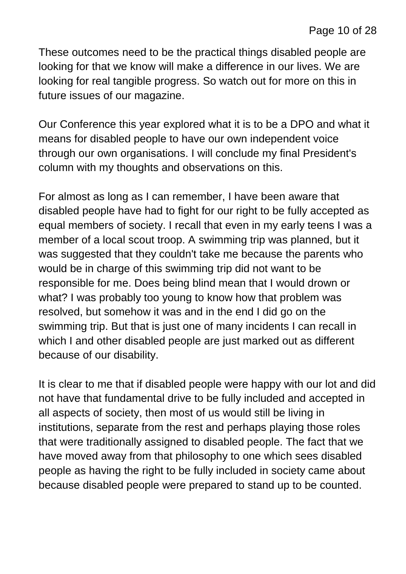These outcomes need to be the practical things disabled people are looking for that we know will make a difference in our lives. We are looking for real tangible progress. So watch out for more on this in future issues of our magazine.

Our Conference this year explored what it is to be a DPO and what it means for disabled people to have our own independent voice through our own organisations. I will conclude my final President's column with my thoughts and observations on this.

For almost as long as I can remember, I have been aware that disabled people have had to fight for our right to be fully accepted as equal members of society. I recall that even in my early teens I was a member of a local scout troop. A swimming trip was planned, but it was suggested that they couldn't take me because the parents who would be in charge of this swimming trip did not want to be responsible for me. Does being blind mean that I would drown or what? I was probably too young to know how that problem was resolved, but somehow it was and in the end I did go on the swimming trip. But that is just one of many incidents I can recall in which I and other disabled people are just marked out as different because of our disability.

It is clear to me that if disabled people were happy with our lot and did not have that fundamental drive to be fully included and accepted in all aspects of society, then most of us would still be living in institutions, separate from the rest and perhaps playing those roles that were traditionally assigned to disabled people. The fact that we have moved away from that philosophy to one which sees disabled people as having the right to be fully included in society came about because disabled people were prepared to stand up to be counted.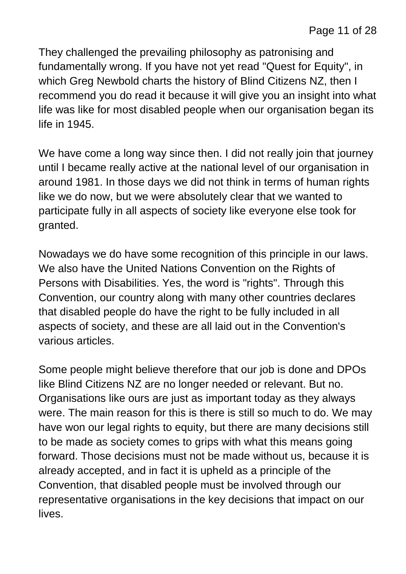They challenged the prevailing philosophy as patronising and fundamentally wrong. If you have not yet read "Quest for Equity", in which Greg Newbold charts the history of Blind Citizens NZ, then I recommend you do read it because it will give you an insight into what life was like for most disabled people when our organisation began its life in 1945.

We have come a long way since then. I did not really join that journey until I became really active at the national level of our organisation in around 1981. In those days we did not think in terms of human rights like we do now, but we were absolutely clear that we wanted to participate fully in all aspects of society like everyone else took for granted.

Nowadays we do have some recognition of this principle in our laws. We also have the United Nations Convention on the Rights of Persons with Disabilities. Yes, the word is "rights". Through this Convention, our country along with many other countries declares that disabled people do have the right to be fully included in all aspects of society, and these are all laid out in the Convention's various articles.

Some people might believe therefore that our job is done and DPOs like Blind Citizens NZ are no longer needed or relevant. But no. Organisations like ours are just as important today as they always were. The main reason for this is there is still so much to do. We may have won our legal rights to equity, but there are many decisions still to be made as society comes to grips with what this means going forward. Those decisions must not be made without us, because it is already accepted, and in fact it is upheld as a principle of the Convention, that disabled people must be involved through our representative organisations in the key decisions that impact on our lives.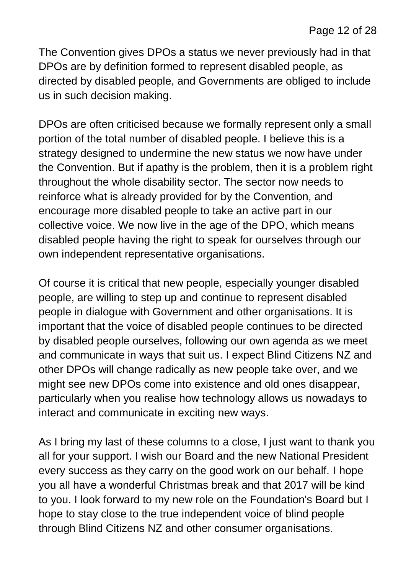The Convention gives DPOs a status we never previously had in that DPOs are by definition formed to represent disabled people, as directed by disabled people, and Governments are obliged to include us in such decision making.

DPOs are often criticised because we formally represent only a small portion of the total number of disabled people. I believe this is a strategy designed to undermine the new status we now have under the Convention. But if apathy is the problem, then it is a problem right throughout the whole disability sector. The sector now needs to reinforce what is already provided for by the Convention, and encourage more disabled people to take an active part in our collective voice. We now live in the age of the DPO, which means disabled people having the right to speak for ourselves through our own independent representative organisations.

Of course it is critical that new people, especially younger disabled people, are willing to step up and continue to represent disabled people in dialogue with Government and other organisations. It is important that the voice of disabled people continues to be directed by disabled people ourselves, following our own agenda as we meet and communicate in ways that suit us. I expect Blind Citizens NZ and other DPOs will change radically as new people take over, and we might see new DPOs come into existence and old ones disappear, particularly when you realise how technology allows us nowadays to interact and communicate in exciting new ways.

As I bring my last of these columns to a close, I just want to thank you all for your support. I wish our Board and the new National President every success as they carry on the good work on our behalf. I hope you all have a wonderful Christmas break and that 2017 will be kind to you. I look forward to my new role on the Foundation's Board but I hope to stay close to the true independent voice of blind people through Blind Citizens NZ and other consumer organisations.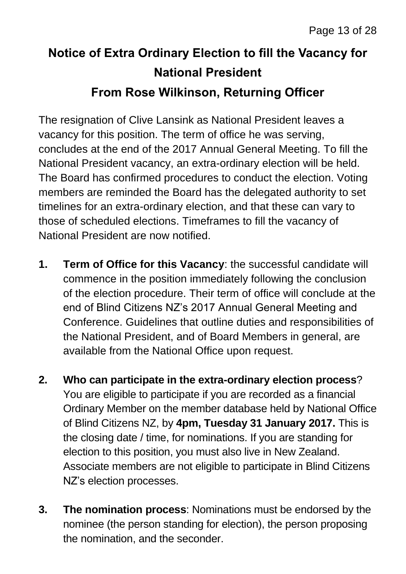## **Notice of Extra Ordinary Election to fill the Vacancy for National President From Rose Wilkinson, Returning Officer**

The resignation of Clive Lansink as National President leaves a vacancy for this position. The term of office he was serving, concludes at the end of the 2017 Annual General Meeting. To fill the National President vacancy, an extra-ordinary election will be held. The Board has confirmed procedures to conduct the election. Voting members are reminded the Board has the delegated authority to set timelines for an extra-ordinary election, and that these can vary to those of scheduled elections. Timeframes to fill the vacancy of National President are now notified.

- **1. Term of Office for this Vacancy**: the successful candidate will commence in the position immediately following the conclusion of the election procedure. Their term of office will conclude at the end of Blind Citizens NZ's 2017 Annual General Meeting and Conference. Guidelines that outline duties and responsibilities of the National President, and of Board Members in general, are available from the National Office upon request.
- **2. Who can participate in the extra-ordinary election process**? You are eligible to participate if you are recorded as a financial Ordinary Member on the member database held by National Office of Blind Citizens NZ, by **4pm, Tuesday 31 January 2017.** This is the closing date / time, for nominations. If you are standing for election to this position, you must also live in New Zealand. Associate members are not eligible to participate in Blind Citizens NZ's election processes.
- **3. The nomination process**: Nominations must be endorsed by the nominee (the person standing for election), the person proposing the nomination, and the seconder.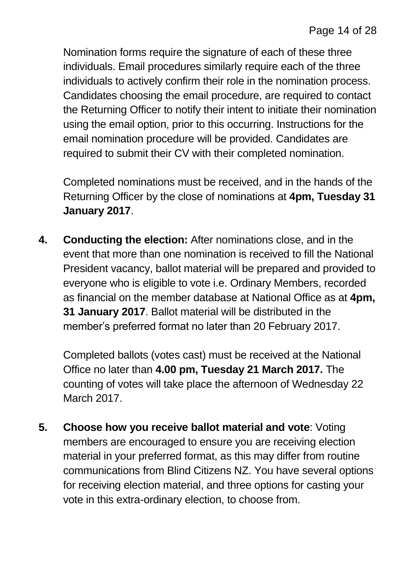Nomination forms require the signature of each of these three individuals. Email procedures similarly require each of the three individuals to actively confirm their role in the nomination process. Candidates choosing the email procedure, are required to contact the Returning Officer to notify their intent to initiate their nomination using the email option, prior to this occurring. Instructions for the email nomination procedure will be provided. Candidates are required to submit their CV with their completed nomination.

Completed nominations must be received, and in the hands of the Returning Officer by the close of nominations at **4pm, Tuesday 31 January 2017**.

**4. Conducting the election:** After nominations close, and in the event that more than one nomination is received to fill the National President vacancy, ballot material will be prepared and provided to everyone who is eligible to vote i.e. Ordinary Members, recorded as financial on the member database at National Office as at **4pm, 31 January 2017**. Ballot material will be distributed in the member's preferred format no later than 20 February 2017.

Completed ballots (votes cast) must be received at the National Office no later than **4.00 pm, Tuesday 21 March 2017.** The counting of votes will take place the afternoon of Wednesday 22 March 2017.

**5. Choose how you receive ballot material and vote**: Voting members are encouraged to ensure you are receiving election material in your preferred format, as this may differ from routine communications from Blind Citizens NZ. You have several options for receiving election material, and three options for casting your vote in this extra-ordinary election, to choose from.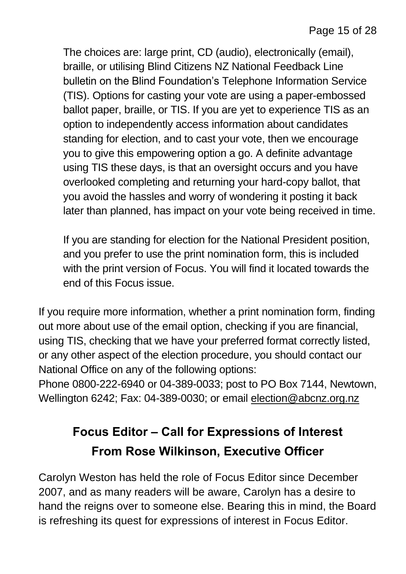The choices are: large print, CD (audio), electronically (email), braille, or utilising Blind Citizens NZ National Feedback Line bulletin on the Blind Foundation's Telephone Information Service (TIS). Options for casting your vote are using a paper-embossed ballot paper, braille, or TIS. If you are yet to experience TIS as an option to independently access information about candidates standing for election, and to cast your vote, then we encourage you to give this empowering option a go. A definite advantage using TIS these days, is that an oversight occurs and you have overlooked completing and returning your hard-copy ballot, that you avoid the hassles and worry of wondering it posting it back later than planned, has impact on your vote being received in time.

If you are standing for election for the National President position, and you prefer to use the print nomination form, this is included with the print version of Focus. You will find it located towards the end of this Focus issue.

If you require more information, whether a print nomination form, finding out more about use of the email option, checking if you are financial, using TIS, checking that we have your preferred format correctly listed, or any other aspect of the election procedure, you should contact our National Office on any of the following options:

Phone 0800-222-6940 or 04-389-0033; post to PO Box 7144, Newtown, Wellington 6242; Fax: 04-389-0030; or email [election@abcnz.org.nz](mailto:election@abcnz.org.nz)

## **Focus Editor – Call for Expressions of Interest From Rose Wilkinson, Executive Officer**

Carolyn Weston has held the role of Focus Editor since December 2007, and as many readers will be aware, Carolyn has a desire to hand the reigns over to someone else. Bearing this in mind, the Board is refreshing its quest for expressions of interest in Focus Editor.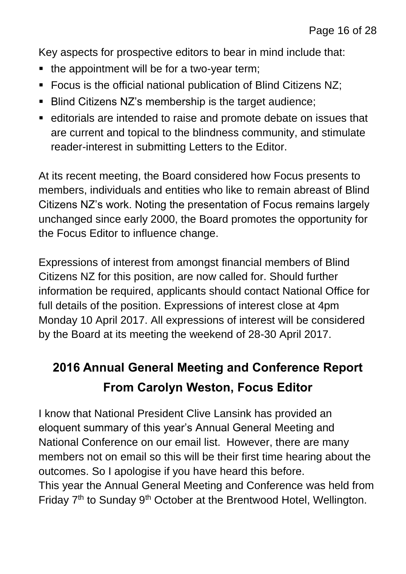Key aspects for prospective editors to bear in mind include that:

- the appointment will be for a two-year term;
- Focus is the official national publication of Blind Citizens NZ;
- Blind Citizens NZ's membership is the target audience;
- editorials are intended to raise and promote debate on issues that are current and topical to the blindness community, and stimulate reader-interest in submitting Letters to the Editor.

At its recent meeting, the Board considered how Focus presents to members, individuals and entities who like to remain abreast of Blind Citizens NZ's work. Noting the presentation of Focus remains largely unchanged since early 2000, the Board promotes the opportunity for the Focus Editor to influence change.

Expressions of interest from amongst financial members of Blind Citizens NZ for this position, are now called for. Should further information be required, applicants should contact National Office for full details of the position. Expressions of interest close at 4pm Monday 10 April 2017. All expressions of interest will be considered by the Board at its meeting the weekend of 28-30 April 2017.

## **2016 Annual General Meeting and Conference Report From Carolyn Weston, Focus Editor**

I know that National President Clive Lansink has provided an eloquent summary of this year's Annual General Meeting and National Conference on our email list. However, there are many members not on email so this will be their first time hearing about the outcomes. So I apologise if you have heard this before. This year the Annual General Meeting and Conference was held from Friday 7<sup>th</sup> to Sunday 9<sup>th</sup> October at the Brentwood Hotel, Wellington.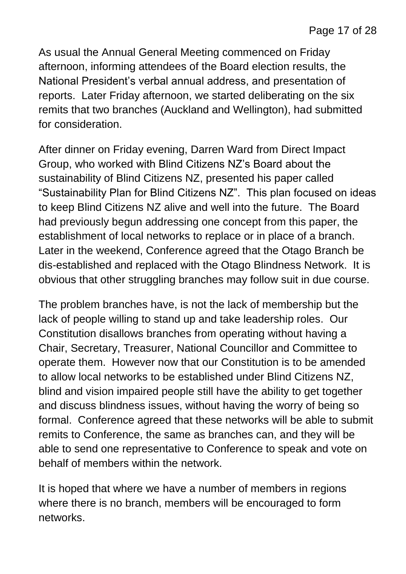As usual the Annual General Meeting commenced on Friday afternoon, informing attendees of the Board election results, the National President's verbal annual address, and presentation of reports. Later Friday afternoon, we started deliberating on the six remits that two branches (Auckland and Wellington), had submitted for consideration.

After dinner on Friday evening, Darren Ward from Direct Impact Group, who worked with Blind Citizens NZ's Board about the sustainability of Blind Citizens NZ, presented his paper called "Sustainability Plan for Blind Citizens NZ". This plan focused on ideas to keep Blind Citizens NZ alive and well into the future. The Board had previously begun addressing one concept from this paper, the establishment of local networks to replace or in place of a branch. Later in the weekend, Conference agreed that the Otago Branch be dis-established and replaced with the Otago Blindness Network. It is obvious that other struggling branches may follow suit in due course.

The problem branches have, is not the lack of membership but the lack of people willing to stand up and take leadership roles. Our Constitution disallows branches from operating without having a Chair, Secretary, Treasurer, National Councillor and Committee to operate them. However now that our Constitution is to be amended to allow local networks to be established under Blind Citizens NZ, blind and vision impaired people still have the ability to get together and discuss blindness issues, without having the worry of being so formal. Conference agreed that these networks will be able to submit remits to Conference, the same as branches can, and they will be able to send one representative to Conference to speak and vote on behalf of members within the network.

It is hoped that where we have a number of members in regions where there is no branch, members will be encouraged to form networks.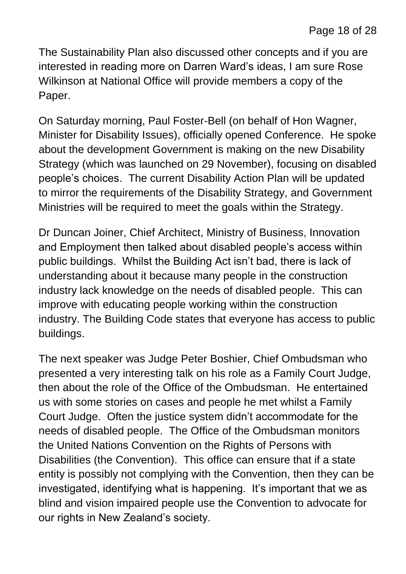The Sustainability Plan also discussed other concepts and if you are interested in reading more on Darren Ward's ideas, I am sure Rose Wilkinson at National Office will provide members a copy of the Paper.

On Saturday morning, Paul Foster-Bell (on behalf of Hon Wagner, Minister for Disability Issues), officially opened Conference. He spoke about the development Government is making on the new Disability Strategy (which was launched on 29 November), focusing on disabled people's choices. The current Disability Action Plan will be updated to mirror the requirements of the Disability Strategy, and Government Ministries will be required to meet the goals within the Strategy.

Dr Duncan Joiner, Chief Architect, Ministry of Business, Innovation and Employment then talked about disabled people's access within public buildings. Whilst the Building Act isn't bad, there is lack of understanding about it because many people in the construction industry lack knowledge on the needs of disabled people. This can improve with educating people working within the construction industry. The Building Code states that everyone has access to public buildings.

The next speaker was Judge Peter Boshier, Chief Ombudsman who presented a very interesting talk on his role as a Family Court Judge, then about the role of the Office of the Ombudsman. He entertained us with some stories on cases and people he met whilst a Family Court Judge. Often the justice system didn't accommodate for the needs of disabled people. The Office of the Ombudsman monitors the United Nations Convention on the Rights of Persons with Disabilities (the Convention). This office can ensure that if a state entity is possibly not complying with the Convention, then they can be investigated, identifying what is happening. It's important that we as blind and vision impaired people use the Convention to advocate for our rights in New Zealand's society.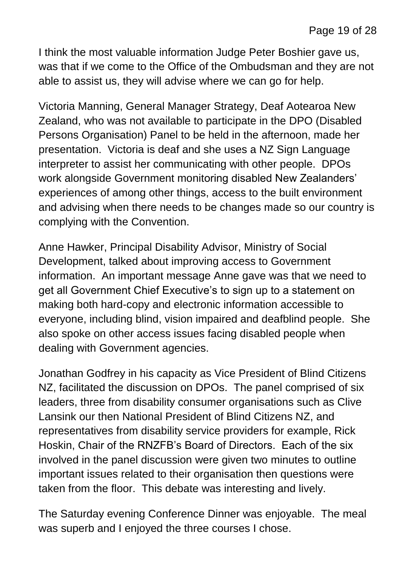I think the most valuable information Judge Peter Boshier gave us, was that if we come to the Office of the Ombudsman and they are not able to assist us, they will advise where we can go for help.

Victoria Manning, General Manager Strategy, Deaf Aotearoa New Zealand, who was not available to participate in the DPO (Disabled Persons Organisation) Panel to be held in the afternoon, made her presentation. Victoria is deaf and she uses a NZ Sign Language interpreter to assist her communicating with other people. DPOs work alongside Government monitoring disabled New Zealanders' experiences of among other things, access to the built environment and advising when there needs to be changes made so our country is complying with the Convention.

Anne Hawker, Principal Disability Advisor, Ministry of Social Development, talked about improving access to Government information. An important message Anne gave was that we need to get all Government Chief Executive's to sign up to a statement on making both hard-copy and electronic information accessible to everyone, including blind, vision impaired and deafblind people. She also spoke on other access issues facing disabled people when dealing with Government agencies.

Jonathan Godfrey in his capacity as Vice President of Blind Citizens NZ, facilitated the discussion on DPOs. The panel comprised of six leaders, three from disability consumer organisations such as Clive Lansink our then National President of Blind Citizens NZ, and representatives from disability service providers for example, Rick Hoskin, Chair of the RNZFB's Board of Directors. Each of the six involved in the panel discussion were given two minutes to outline important issues related to their organisation then questions were taken from the floor. This debate was interesting and lively.

The Saturday evening Conference Dinner was enjoyable. The meal was superb and I enjoyed the three courses I chose.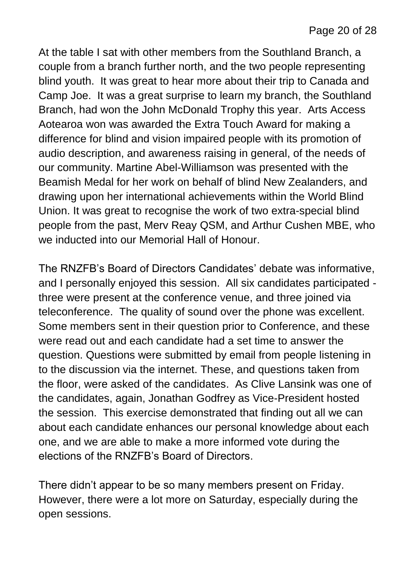At the table I sat with other members from the Southland Branch, a couple from a branch further north, and the two people representing blind youth. It was great to hear more about their trip to Canada and Camp Joe. It was a great surprise to learn my branch, the Southland Branch, had won the John McDonald Trophy this year. Arts Access Aotearoa won was awarded the Extra Touch Award for making a difference for blind and vision impaired people with its promotion of audio description, and awareness raising in general, of the needs of our community. Martine Abel-Williamson was presented with the Beamish Medal for her work on behalf of blind New Zealanders, and drawing upon her international achievements within the World Blind Union. It was great to recognise the work of two extra-special blind people from the past, Merv Reay QSM, and Arthur Cushen MBE, who we inducted into our Memorial Hall of Honour.

The RNZFB's Board of Directors Candidates' debate was informative, and I personally enjoyed this session. All six candidates participated three were present at the conference venue, and three joined via teleconference. The quality of sound over the phone was excellent. Some members sent in their question prior to Conference, and these were read out and each candidate had a set time to answer the question. Questions were submitted by email from people listening in to the discussion via the internet. These, and questions taken from the floor, were asked of the candidates. As Clive Lansink was one of the candidates, again, Jonathan Godfrey as Vice-President hosted the session. This exercise demonstrated that finding out all we can about each candidate enhances our personal knowledge about each one, and we are able to make a more informed vote during the elections of the RNZFB's Board of Directors.

There didn't appear to be so many members present on Friday. However, there were a lot more on Saturday, especially during the open sessions.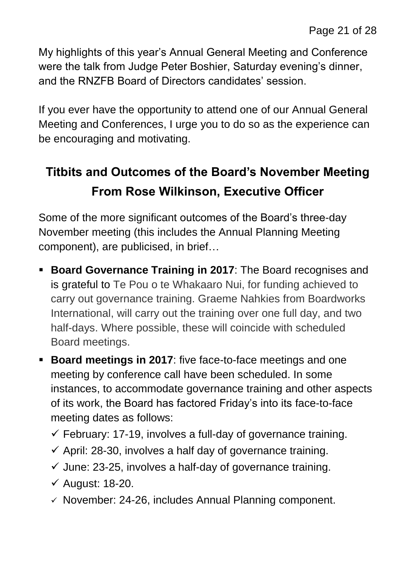My highlights of this year's Annual General Meeting and Conference were the talk from Judge Peter Boshier, Saturday evening's dinner, and the RNZFB Board of Directors candidates' session.

If you ever have the opportunity to attend one of our Annual General Meeting and Conferences, I urge you to do so as the experience can be encouraging and motivating.

## **Titbits and Outcomes of the Board's November Meeting From Rose Wilkinson, Executive Officer**

Some of the more significant outcomes of the Board's three-day November meeting (this includes the Annual Planning Meeting component), are publicised, in brief…

- **Board Governance Training in 2017**: The Board recognises and is grateful to Te Pou o te Whakaaro Nui, for funding achieved to carry out governance training. Graeme Nahkies from Boardworks International, will carry out the training over one full day, and two half-days. Where possible, these will coincide with scheduled Board meetings.
- **Board meetings in 2017:** five face-to-face meetings and one meeting by conference call have been scheduled. In some instances, to accommodate governance training and other aspects of its work, the Board has factored Friday's into its face-to-face meeting dates as follows:
	- $\checkmark$  February: 17-19, involves a full-day of governance training.
	- $\checkmark$  April: 28-30, involves a half day of governance training.
	- $\checkmark$  June: 23-25, involves a half-day of governance training.
	- $\checkmark$  August: 18-20.
	- $\checkmark$  November: 24-26, includes Annual Planning component.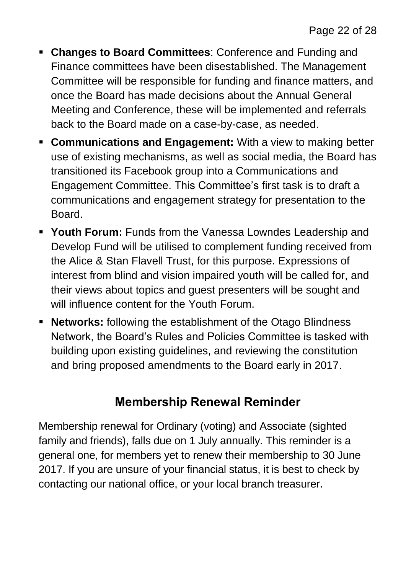- **Changes to Board Committees**: Conference and Funding and Finance committees have been disestablished. The Management Committee will be responsible for funding and finance matters, and once the Board has made decisions about the Annual General Meeting and Conference, these will be implemented and referrals back to the Board made on a case-by-case, as needed.
- **Communications and Engagement:** With a view to making better use of existing mechanisms, as well as social media, the Board has transitioned its Facebook group into a Communications and Engagement Committee. This Committee's first task is to draft a communications and engagement strategy for presentation to the **Board**
- **Youth Forum:** Funds from the Vanessa Lowndes Leadership and Develop Fund will be utilised to complement funding received from the Alice & Stan Flavell Trust, for this purpose. Expressions of interest from blind and vision impaired youth will be called for, and their views about topics and guest presenters will be sought and will influence content for the Youth Forum.
- **Networks:** following the establishment of the Otago Blindness Network, the Board's Rules and Policies Committee is tasked with building upon existing guidelines, and reviewing the constitution and bring proposed amendments to the Board early in 2017.

#### **Membership Renewal Reminder**

Membership renewal for Ordinary (voting) and Associate (sighted family and friends), falls due on 1 July annually. This reminder is a general one, for members yet to renew their membership to 30 June 2017. If you are unsure of your financial status, it is best to check by contacting our national office, or your local branch treasurer.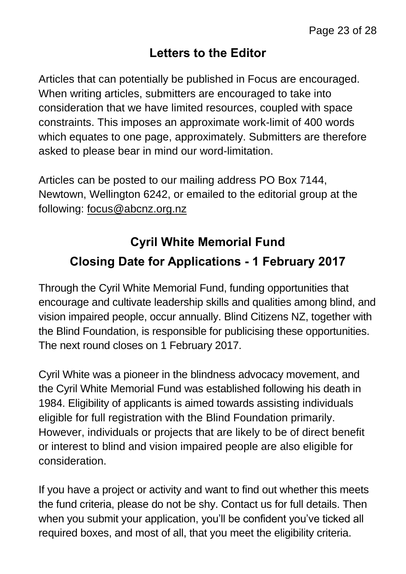#### **Letters to the Editor**

Articles that can potentially be published in Focus are encouraged. When writing articles, submitters are encouraged to take into consideration that we have limited resources, coupled with space constraints. This imposes an approximate work-limit of 400 words which equates to one page, approximately. Submitters are therefore asked to please bear in mind our word-limitation.

Articles can be posted to our mailing address PO Box 7144, Newtown, Wellington 6242, or emailed to the editorial group at the following: [focus@abcnz.org.nz](mailto:focus@abcnz.org.nz)

## **Cyril White Memorial Fund Closing Date for Applications - 1 February 2017**

Through the Cyril White Memorial Fund, funding opportunities that encourage and cultivate leadership skills and qualities among blind, and vision impaired people, occur annually. Blind Citizens NZ, together with the Blind Foundation, is responsible for publicising these opportunities. The next round closes on 1 February 2017.

Cyril White was a pioneer in the blindness advocacy movement, and the Cyril White Memorial Fund was established following his death in 1984. Eligibility of applicants is aimed towards assisting individuals eligible for full registration with the Blind Foundation primarily. However, individuals or projects that are likely to be of direct benefit or interest to blind and vision impaired people are also eligible for consideration.

If you have a project or activity and want to find out whether this meets the fund criteria, please do not be shy. Contact us for full details. Then when you submit your application, you'll be confident you've ticked all required boxes, and most of all, that you meet the eligibility criteria.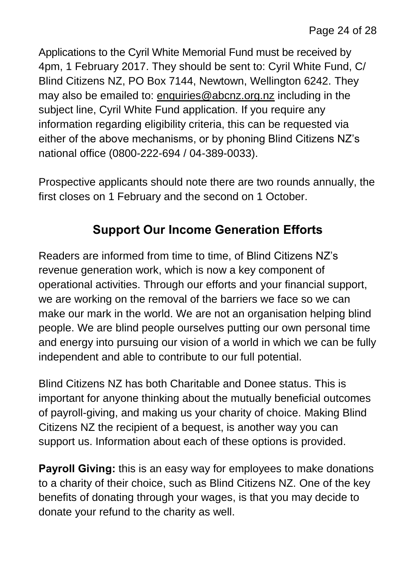Applications to the Cyril White Memorial Fund must be received by 4pm, 1 February 2017. They should be sent to: Cyril White Fund, C/ Blind Citizens NZ, PO Box 7144, Newtown, Wellington 6242. They may also be emailed to: [enquiries@abcnz.org.nz](mailto:enquiries@abcnz.org.nz) including in the subject line, Cyril White Fund application. If you require any information regarding eligibility criteria, this can be requested via either of the above mechanisms, or by phoning Blind Citizens NZ's national office (0800-222-694 / 04-389-0033).

Prospective applicants should note there are two rounds annually, the first closes on 1 February and the second on 1 October.

#### **Support Our Income Generation Efforts**

Readers are informed from time to time, of Blind Citizens NZ's revenue generation work, which is now a key component of operational activities. Through our efforts and your financial support, we are working on the removal of the barriers we face so we can make our mark in the world. We are not an organisation helping blind people. We are blind people ourselves putting our own personal time and energy into pursuing our vision of a world in which we can be fully independent and able to contribute to our full potential.

Blind Citizens NZ has both Charitable and Donee status. This is important for anyone thinking about the mutually beneficial outcomes of payroll-giving, and making us your charity of choice. Making Blind Citizens NZ the recipient of a bequest, is another way you can support us. Information about each of these options is provided.

**Payroll Giving:** this is an easy way for employees to make donations to a charity of their choice, such as Blind Citizens NZ. One of the key benefits of donating through your wages, is that you may decide to donate your refund to the charity as well.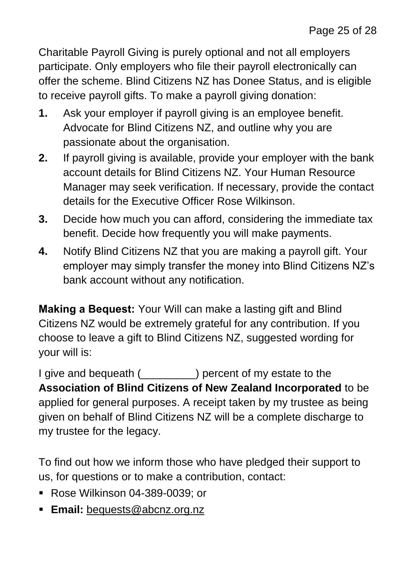Charitable Payroll Giving is purely optional and not all employers participate. Only employers who file their payroll electronically can offer the scheme. Blind Citizens NZ has Donee Status, and is eligible to receive payroll gifts. To make a payroll giving donation:

- **1.** Ask your employer if payroll giving is an employee benefit. Advocate for Blind Citizens NZ, and outline why you are passionate about the organisation.
- **2.** If payroll giving is available, provide your employer with the bank account details for Blind Citizens NZ. Your Human Resource Manager may seek verification. If necessary, provide the contact details for the Executive Officer Rose Wilkinson.
- **3.** Decide how much you can afford, considering the immediate tax benefit. Decide how frequently you will make payments.
- **4.** Notify Blind Citizens NZ that you are making a payroll gift. Your employer may simply transfer the money into Blind Citizens NZ's bank account without any notification.

**Making a Bequest:** Your Will can make a lasting gift and Blind Citizens NZ would be extremely grateful for any contribution. If you choose to leave a gift to Blind Citizens NZ, suggested wording for your will is:

I give and bequeath (\_\_\_\_\_\_\_\_\_) percent of my estate to the **Association of Blind Citizens of New Zealand Incorporated** to be applied for general purposes. A receipt taken by my trustee as being given on behalf of Blind Citizens NZ will be a complete discharge to my trustee for the legacy.

To find out how we inform those who have pledged their support to us, for questions or to make a contribution, contact:

- Rose Wilkinson 04-389-0039; or
- **Email:** [bequests@abcnz.org.nz](mailto:bequests@abcnz.org.nz)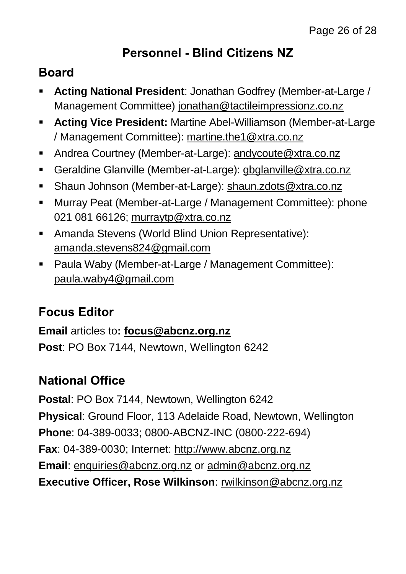#### **Personnel - Blind Citizens NZ**

#### **Board**

- **Acting National President**: Jonathan Godfrey (Member-at-Large / Management Committee) [jonathan@tactileimpressionz.co.nz](mailto:jonathan@tactileimpressionz.co.nz)
- **Acting Vice President:** Martine Abel-Williamson (Member-at-Large / Management Committee): [martine.the1@xtra.co.nz](mailto:martine.the1@xtra.co.nz)
- Andrea Courtney (Member-at-Large): [andycoute@xtra.co.nz](mailto:andycoute@xtra.co.nz)
- Geraldine Glanville (Member-at-Large): [gbglanville@xtra.co.nz](mailto:gbglanville@xtra.co.nz)
- Shaun Johnson (Member-at-Large): [shaun.zdots@xtra.co.nz](mailto:shaun.zdots@xtra.co.nz%20co.nz)
- Murray Peat (Member-at-Large / Management Committee): phone 021 081 66126; [murraytp@xtra.co.nz](mailto:murraytp@xtra.co.nz)
- Amanda Stevens (World Blind Union Representative): [amanda.stevens824@gmail.com](mailto:amanda.stevens824@gmail.com)
- Paula Waby (Member-at-Large / Management Committee): [paula.waby4@gmail.com](mailto:paula.waby4@gmail.com)

#### **Focus Editor**

**Email** articles to**: [focus@abcnz.org.nz](mailto:focus@abcnz.org.nz) Post**: PO Box 7144, Newtown, Wellington 6242

#### **National Office**

**Postal**: PO Box 7144, Newtown, Wellington 6242 **Physical**: Ground Floor, 113 Adelaide Road, Newtown, Wellington **Phone**: 04-389-0033; 0800-ABCNZ-INC (0800-222-694) **Fax**: 04-389-0030; Internet: [http://www.abcnz.org.nz](http://www.abcnz.org.nz/) **Email**: [enquiries@abcnz.org.nz](mailto:enquiries@abcnz.org.nz) or [admin@abcnz.org.nz](mailto:admin@abcnz.org.nz) **Executive Officer, Rose Wilkinson**: [rwilkinson@abcnz.org.nz](mailto:rwilkinson@abcnz.org.nz)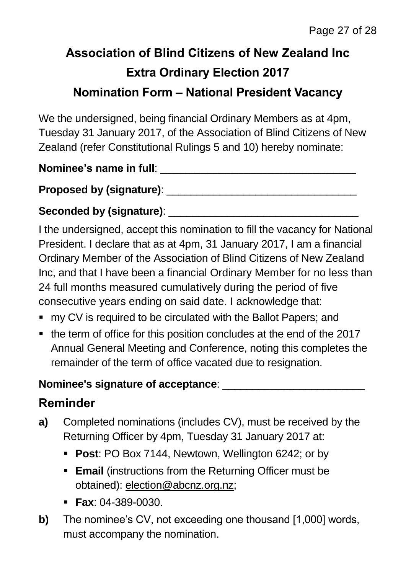## **Association of Blind Citizens of New Zealand Inc Extra Ordinary Election 2017 Nomination Form – National President Vacancy**

We the undersigned, being financial Ordinary Members as at 4pm, Tuesday 31 January 2017, of the Association of Blind Citizens of New Zealand (refer Constitutional Rulings 5 and 10) hereby nominate:

**Nominee's name in full: Nominee's** name in full:

**Proposed by (signature)**: \_\_\_\_\_\_\_\_\_\_\_\_\_\_\_\_\_\_\_\_\_\_\_\_\_\_\_\_\_\_\_\_

#### Seconded by (signature): **Example 2018**

I the undersigned, accept this nomination to fill the vacancy for National President. I declare that as at 4pm, 31 January 2017, I am a financial Ordinary Member of the Association of Blind Citizens of New Zealand Inc, and that I have been a financial Ordinary Member for no less than 24 full months measured cumulatively during the period of five consecutive years ending on said date. I acknowledge that:

- my CV is required to be circulated with the Ballot Papers; and
- the term of office for this position concludes at the end of the 2017 Annual General Meeting and Conference, noting this completes the remainder of the term of office vacated due to resignation.

#### **Nominee's signature of acceptance**: \_\_\_\_\_\_\_\_\_\_\_\_\_\_\_\_\_\_\_\_\_\_\_\_

#### **Reminder**

- **a)** Completed nominations (includes CV), must be received by the Returning Officer by 4pm, Tuesday 31 January 2017 at:
	- **Post**: PO Box 7144, Newtown, Wellington 6242; or by
	- **Email** (instructions from the Returning Officer must be obtained): [election@abcnz.org.nz;](mailto:election@abcnz.org.nz)
	- **Fax**: 04-389-0030.
- **b)** The nominee's CV, not exceeding one thousand [1,000] words, must accompany the nomination.